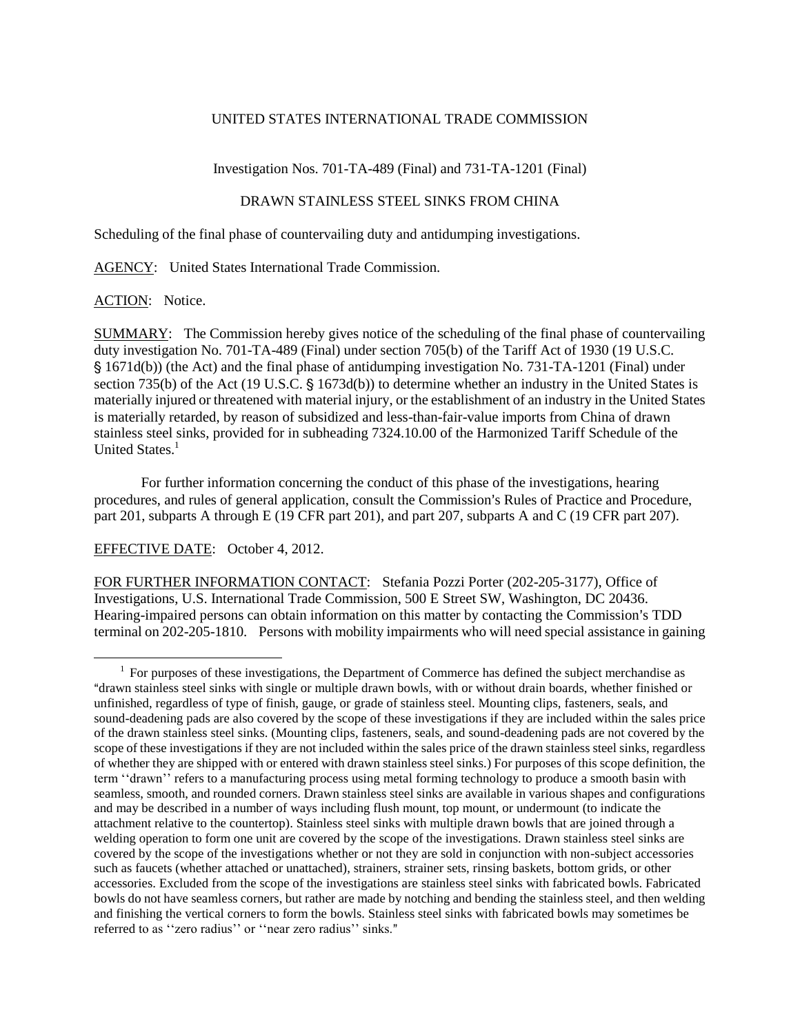#### UNITED STATES INTERNATIONAL TRADE COMMISSION

Investigation Nos. 701-TA-489 (Final) and 731-TA-1201 (Final)

# DRAWN STAINLESS STEEL SINKS FROM CHINA

Scheduling of the final phase of countervailing duty and antidumping investigations.

AGENCY: United States International Trade Commission.

# ACTION: Notice.

 $\overline{a}$ 

SUMMARY: The Commission hereby gives notice of the scheduling of the final phase of countervailing duty investigation No. 701-TA-489 (Final) under section 705(b) of the Tariff Act of 1930 (19 U.S.C. ' 1671d(b)) (the Act) and the final phase of antidumping investigation No. 731-TA-1201 (Final) under section 735(b) of the Act (19 U.S.C.  $\frac{6}{5}$  1673d(b)) to determine whether an industry in the United States is materially injured or threatened with material injury, or the establishment of an industry in the United States is materially retarded, by reason of subsidized and less-than-fair-value imports from China of drawn stainless steel sinks, provided for in subheading 7324.10.00 of the Harmonized Tariff Schedule of the United States.<sup>1</sup>

For further information concerning the conduct of this phase of the investigations, hearing procedures, and rules of general application, consult the Commission's Rules of Practice and Procedure, part 201, subparts A through E (19 CFR part 201), and part 207, subparts A and C (19 CFR part 207).

# EFFECTIVE DATE: October 4, 2012.

FOR FURTHER INFORMATION CONTACT: Stefania Pozzi Porter (202-205-3177), Office of Investigations, U.S. International Trade Commission, 500 E Street SW, Washington, DC 20436. Hearing-impaired persons can obtain information on this matter by contacting the Commission's TDD terminal on 202-205-1810. Persons with mobility impairments who will need special assistance in gaining

 $1$  For purposes of these investigations, the Department of Commerce has defined the subject merchandise as Adrawn stainless steel sinks with single or multiple drawn bowls, with or without drain boards, whether finished or unfinished, regardless of type of finish, gauge, or grade of stainless steel. Mounting clips, fasteners, seals, and sound-deadening pads are also covered by the scope of these investigations if they are included within the sales price of the drawn stainless steel sinks. (Mounting clips, fasteners, seals, and sound-deadening pads are not covered by the scope of these investigations if they are not included within the sales price of the drawn stainless steel sinks, regardless of whether they are shipped with or entered with drawn stainless steel sinks.) For purposes of this scope definition, the term ''drawn'' refers to a manufacturing process using metal forming technology to produce a smooth basin with seamless, smooth, and rounded corners. Drawn stainless steel sinks are available in various shapes and configurations and may be described in a number of ways including flush mount, top mount, or undermount (to indicate the attachment relative to the countertop). Stainless steel sinks with multiple drawn bowls that are joined through a welding operation to form one unit are covered by the scope of the investigations. Drawn stainless steel sinks are covered by the scope of the investigations whether or not they are sold in conjunction with non-subject accessories such as faucets (whether attached or unattached), strainers, strainer sets, rinsing baskets, bottom grids, or other accessories. Excluded from the scope of the investigations are stainless steel sinks with fabricated bowls. Fabricated bowls do not have seamless corners, but rather are made by notching and bending the stainless steel, and then welding and finishing the vertical corners to form the bowls. Stainless steel sinks with fabricated bowls may sometimes be referred to as "zero radius" or "near zero radius" sinks."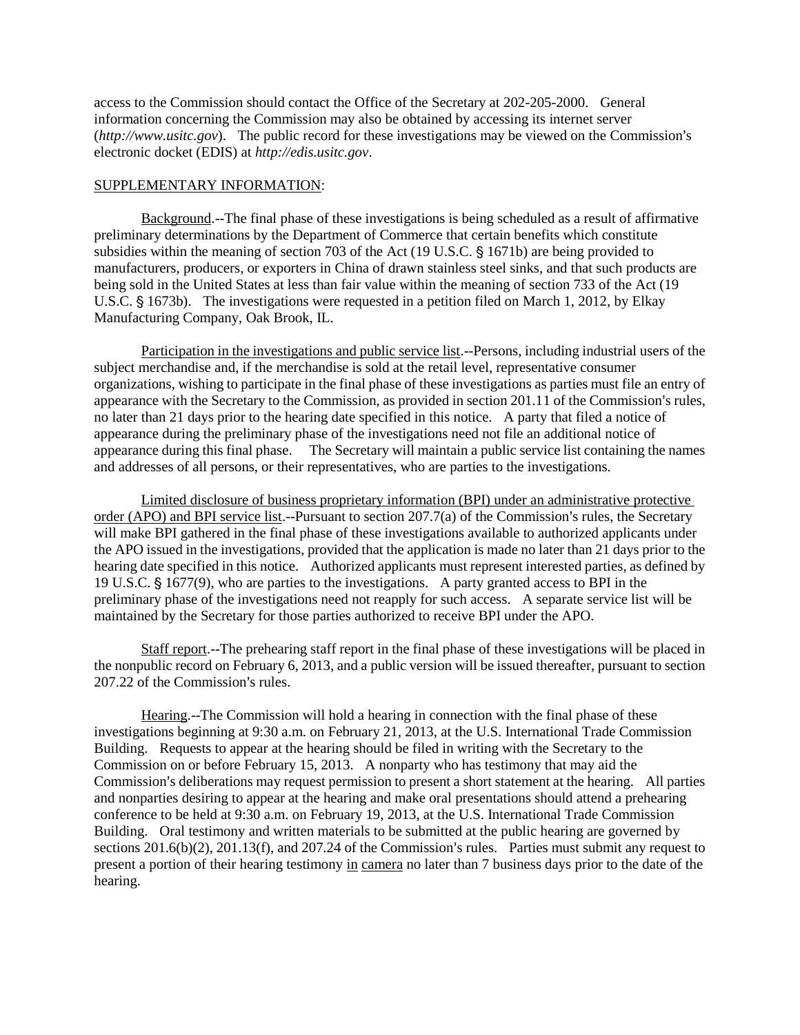access to the Commission should contact the Office of the Secretary at 202-205-2000. General information concerning the Commission may also be obtained by accessing its internet server *(http://www.usitc.gov).* The public record for these investigations may be viewed on the Commission's electronic docket (EDIS) at *http://edis.usitc.gov*.

#### SUPPLEMENTARY INFORMATION:

Background.--The final phase of these investigations is being scheduled as a result of affirmative preliminary determinations by the Department of Commerce that certain benefits which constitute subsidies within the meaning of section 703 of the Act (19 U.S.C.  $\S$  1671b) are being provided to manufacturers, producers, or exporters in China of drawn stainless steel sinks, and that such products are being sold in the United States at less than fair value within the meaning of section 733 of the Act (19 U.S.C. § 1673b). The investigations were requested in a petition filed on March 1, 2012, by Elkay Manufacturing Company, Oak Brook, IL.

Participation in the investigations and public service list.--Persons, including industrial users of the subject merchandise and, if the merchandise is sold at the retail level, representative consumer organizations, wishing to participate in the final phase of these investigations as parties must file an entry of appearance with the Secretary to the Commission, as provided in section 201.11 of the Commission's rules, no later than 21 days prior to the hearing date specified in this notice. A party that filed a notice of appearance during the preliminary phase of the investigations need not file an additional notice of appearance during this final phase. The Secretary will maintain a public service list containing the names and addresses of all persons, or their representatives, who are parties to the investigations.

Limited disclosure of business proprietary information (BPI) under an administrative protective order (APO) and BPI service list.--Pursuant to section  $207.7(a)$  of the Commission's rules, the Secretary will make BPI gathered in the final phase of these investigations available to authorized applicants under the APO issued in the investigations, provided that the application is made no later than 21 days prior to the hearing date specified in this notice. Authorized applicants must represent interested parties, as defined by 19 U.S.C.  $\frac{1}{5}$  1677(9), who are parties to the investigations. A party granted access to BPI in the preliminary phase of the investigations need not reapply for such access. A separate service list will be maintained by the Secretary for those parties authorized to receive BPI under the APO.

Staff report.--The prehearing staff report in the final phase of these investigations will be placed in the nonpublic record on February 6, 2013, and a public version will be issued thereafter, pursuant to section 207.22 of the Commission's rules.

Hearing.--The Commission will hold a hearing in connection with the final phase of these investigations beginning at 9:30 a.m. on February 21, 2013, at the U.S. International Trade Commission Building. Requests to appear at the hearing should be filed in writing with the Secretary to the Commission on or before February 15, 2013. A nonparty who has testimony that may aid the Commission's deliberations may request permission to present a short statement at the hearing. All parties and nonparties desiring to appear at the hearing and make oral presentations should attend a prehearing conference to be held at 9:30 a.m. on February 19, 2013, at the U.S. International Trade Commission Building. Oral testimony and written materials to be submitted at the public hearing are governed by sections  $201.6(b)(2)$ ,  $201.13(f)$ , and  $207.24$  of the Commission's rules. Parties must submit any request to present a portion of their hearing testimony in camera no later than 7 business days prior to the date of the hearing.